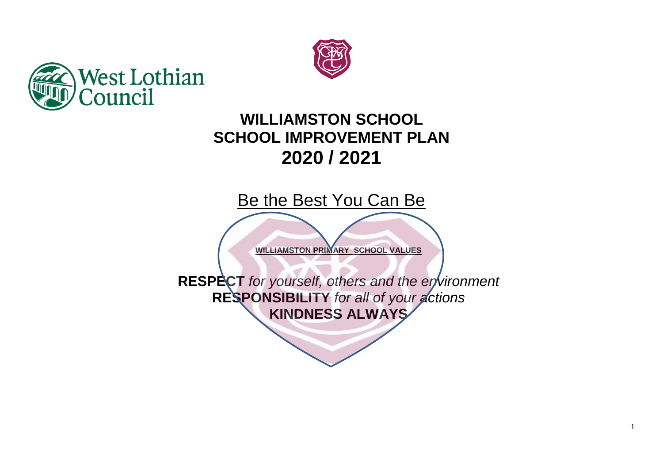



## **WILLIAMSTON SCHOOL SCHOOL IMPROVEMENT PLAN 2020 / 2021**

Be the Best You Can Be

**WILLIAMSTON PRIMARY SCHOOL VALUES**

**RESPECT** *for yourself, others and the environment* **RESPONSIBILITY** *for all of your actions* **KINDNESS ALWAYS**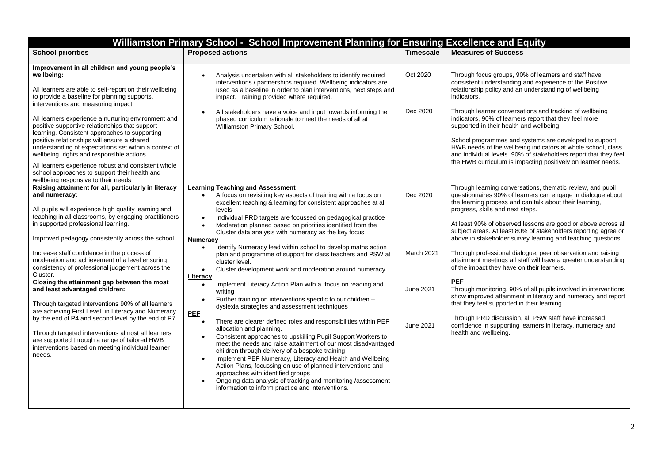| Williamston Primary School - School Improvement Planning for Ensuring Excellence and Equity                                                                                                                                                                                                                                                                                                                                                                                                                                                                                                                                                                                                                                                                                                                                                                                  |                                                                                                                                                                                                                                                                                                                                                                                                                                                                                                                                                                                                                                                                                                                                                                                                                                                                                                                                                                                                                                                                                                                                                                                                                                                                                                                                                                                                                                                                                                                             |                                                  |                                                                                                                                                                                                                                                                                                                                                                                                                                                                                                                                                                                                                                                                                                                                                                                                                                                                                                                                                             |  |
|------------------------------------------------------------------------------------------------------------------------------------------------------------------------------------------------------------------------------------------------------------------------------------------------------------------------------------------------------------------------------------------------------------------------------------------------------------------------------------------------------------------------------------------------------------------------------------------------------------------------------------------------------------------------------------------------------------------------------------------------------------------------------------------------------------------------------------------------------------------------------|-----------------------------------------------------------------------------------------------------------------------------------------------------------------------------------------------------------------------------------------------------------------------------------------------------------------------------------------------------------------------------------------------------------------------------------------------------------------------------------------------------------------------------------------------------------------------------------------------------------------------------------------------------------------------------------------------------------------------------------------------------------------------------------------------------------------------------------------------------------------------------------------------------------------------------------------------------------------------------------------------------------------------------------------------------------------------------------------------------------------------------------------------------------------------------------------------------------------------------------------------------------------------------------------------------------------------------------------------------------------------------------------------------------------------------------------------------------------------------------------------------------------------------|--------------------------------------------------|-------------------------------------------------------------------------------------------------------------------------------------------------------------------------------------------------------------------------------------------------------------------------------------------------------------------------------------------------------------------------------------------------------------------------------------------------------------------------------------------------------------------------------------------------------------------------------------------------------------------------------------------------------------------------------------------------------------------------------------------------------------------------------------------------------------------------------------------------------------------------------------------------------------------------------------------------------------|--|
| <b>School priorities</b>                                                                                                                                                                                                                                                                                                                                                                                                                                                                                                                                                                                                                                                                                                                                                                                                                                                     | <b>Proposed actions</b>                                                                                                                                                                                                                                                                                                                                                                                                                                                                                                                                                                                                                                                                                                                                                                                                                                                                                                                                                                                                                                                                                                                                                                                                                                                                                                                                                                                                                                                                                                     | <b>Timescale</b>                                 | <b>Measures of Success</b>                                                                                                                                                                                                                                                                                                                                                                                                                                                                                                                                                                                                                                                                                                                                                                                                                                                                                                                                  |  |
| Improvement in all children and young people's<br>wellbeing:<br>All learners are able to self-report on their wellbeing<br>to provide a baseline for planning supports,<br>interventions and measuring impact.                                                                                                                                                                                                                                                                                                                                                                                                                                                                                                                                                                                                                                                               | Analysis undertaken with all stakeholders to identify required<br>$\bullet$<br>interventions / partnerships required. Wellbeing indicators are<br>used as a baseline in order to plan interventions, next steps and<br>impact. Training provided where required.                                                                                                                                                                                                                                                                                                                                                                                                                                                                                                                                                                                                                                                                                                                                                                                                                                                                                                                                                                                                                                                                                                                                                                                                                                                            | Oct 2020                                         | Through focus groups, 90% of learners and staff have<br>consistent understanding and experience of the Positive<br>relationship policy and an understanding of wellbeing<br>indicators.                                                                                                                                                                                                                                                                                                                                                                                                                                                                                                                                                                                                                                                                                                                                                                     |  |
| All learners experience a nurturing environment and<br>positive supportive relationships that support<br>learning. Consistent approaches to supporting<br>positive relationships will ensure a shared<br>understanding of expectations set within a context of<br>wellbeing, rights and responsible actions.                                                                                                                                                                                                                                                                                                                                                                                                                                                                                                                                                                 | All stakeholders have a voice and input towards informing the<br>phased curriculum rationale to meet the needs of all at<br>Williamston Primary School.                                                                                                                                                                                                                                                                                                                                                                                                                                                                                                                                                                                                                                                                                                                                                                                                                                                                                                                                                                                                                                                                                                                                                                                                                                                                                                                                                                     | Dec 2020                                         | Through learner conversations and tracking of wellbeing<br>indicators, 90% of learners report that they feel more<br>supported in their health and wellbeing.<br>School programmes and systems are developed to support<br>HWB needs of the wellbeing indicators at whole school, class<br>and individual levels. 90% of stakeholders report that they feel<br>the HWB curriculum is impacting positively on learner needs.                                                                                                                                                                                                                                                                                                                                                                                                                                                                                                                                 |  |
| All learners experience robust and consistent whole<br>school approaches to support their health and<br>wellbeing responsive to their needs                                                                                                                                                                                                                                                                                                                                                                                                                                                                                                                                                                                                                                                                                                                                  |                                                                                                                                                                                                                                                                                                                                                                                                                                                                                                                                                                                                                                                                                                                                                                                                                                                                                                                                                                                                                                                                                                                                                                                                                                                                                                                                                                                                                                                                                                                             |                                                  |                                                                                                                                                                                                                                                                                                                                                                                                                                                                                                                                                                                                                                                                                                                                                                                                                                                                                                                                                             |  |
| Raising attainment for all, particularly in literacy<br>and numeracy:<br>All pupils will experience high quality learning and<br>teaching in all classrooms, by engaging practitioners<br>in supported professional learning.<br>Improved pedagogy consistently across the school.<br>Increase staff confidence in the process of<br>moderation and achievement of a level ensuring<br>consistency of professional judgement across the<br>Cluster.<br>Closing the attainment gap between the most<br>and least advantaged children:<br>Through targeted interventions 90% of all learners<br>are achieving First Level in Literacy and Numeracy<br>by the end of P4 and second level by the end of P7<br>Through targeted interventions almost all learners<br>are supported through a range of tailored HWB<br>interventions based on meeting individual learner<br>needs. | <b>Learning Teaching and Assessment</b><br>A focus on revisiting key aspects of training with a focus on<br>$\bullet$<br>excellent teaching & learning for consistent approaches at all<br>levels<br>Individual PRD targets are focussed on pedagogical practice<br>Moderation planned based on priorities identified from the<br>$\bullet$<br>Cluster data analysis with numeracy as the key focus<br><b>Numeracy</b><br>Identify Numeracy lead within school to develop maths action<br>$\bullet$<br>plan and programme of support for class teachers and PSW at<br>cluster level.<br>Cluster development work and moderation around numeracy.<br>$\bullet$<br>Literacy<br>Implement Literacy Action Plan with a focus on reading and<br>$\bullet$<br>writing<br>Further training on interventions specific to our children -<br>dyslexia strategies and assessment techniques<br><b>PEF</b><br>There are clearer defined roles and responsibilities within PEF<br>$\bullet$<br>allocation and planning.<br>Consistent approaches to upskilling Pupil Support Workers to<br>$\bullet$<br>meet the needs and raise attainment of our most disadvantaged<br>children through delivery of a bespoke training<br>Implement PEF Numeracy, Literacy and Health and Wellbeing<br>$\bullet$<br>Action Plans, focussing on use of planned interventions and<br>approaches with identified groups<br>Ongoing data analysis of tracking and monitoring /assessment<br>$\bullet$<br>information to inform practice and interventions. | Dec 2020<br>March 2021<br>June 2021<br>June 2021 | Through learning conversations, thematic review, and pupil<br>questionnaires 90% of learners can engage in dialogue about<br>the learning process and can talk about their learning,<br>progress, skills and next steps.<br>At least 90% of observed lessons are good or above across all<br>subject areas. At least 80% of stakeholders reporting agree or<br>above in stakeholder survey learning and teaching questions.<br>Through professional dialogue, peer observation and raising<br>attainment meetings all staff will have a greater understanding<br>of the impact they have on their learners.<br><b>PEF</b><br>Through monitoring, 90% of all pupils involved in interventions<br>show improved attainment in literacy and numeracy and report<br>that they feel supported in their learning.<br>Through PRD discussion, all PSW staff have increased<br>confidence in supporting learners in literacy, numeracy and<br>health and wellbeing. |  |